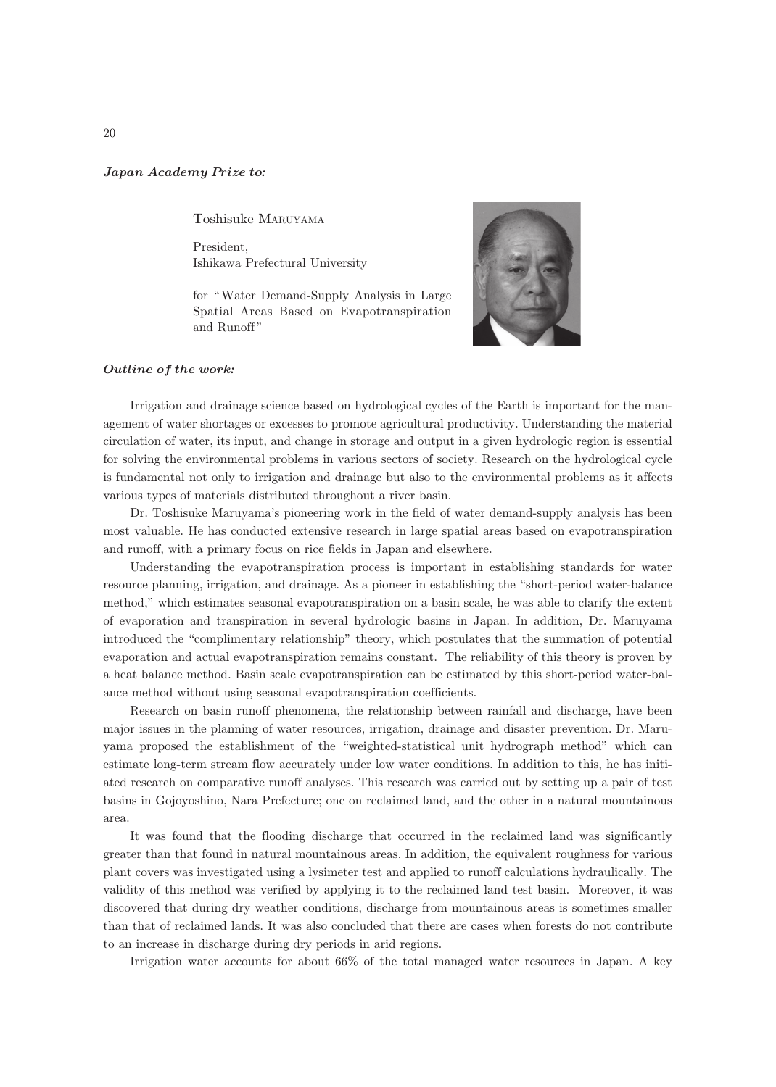## Japan Academy Prize to*:*

Toshisuke MARUYAMA

President, Ishikawa Prefectural University

for "Water Demand-Supply Analysis in Large Spatial Areas Based on Evapotranspiration and Runoff "



## Outline of the work*:*

Irrigation and drainage science based on hydrological cycles of the Earth is important for the management of water shortages or excesses to promote agricultural productivity. Understanding the material circulation of water, its input, and change in storage and output in a given hydrologic region is essential for solving the environmental problems in various sectors of society. Research on the hydrological cycle is fundamental not only to irrigation and drainage but also to the environmental problems as it affects various types of materials distributed throughout a river basin.

Dr. Toshisuke Maruyama's pioneering work in the field of water demand-supply analysis has been most valuable. He has conducted extensive research in large spatial areas based on evapotranspiration and runoff, with a primary focus on rice fields in Japan and elsewhere.

Understanding the evapotranspiration process is important in establishing standards for water resource planning, irrigation, and drainage. As a pioneer in establishing the "short-period water-balance method," which estimates seasonal evapotranspiration on a basin scale, he was able to clarify the extent of evaporation and transpiration in several hydrologic basins in Japan. In addition, Dr. Maruyama introduced the "complimentary relationship" theory, which postulates that the summation of potential evaporation and actual evapotranspiration remains constant. The reliability of this theory is proven by a heat balance method. Basin scale evapotranspiration can be estimated by this short-period water-balance method without using seasonal evapotranspiration coefficients.

Research on basin runoff phenomena, the relationship between rainfall and discharge, have been major issues in the planning of water resources, irrigation, drainage and disaster prevention. Dr. Maruyama proposed the establishment of the "weighted-statistical unit hydrograph method" which can estimate long-term stream flow accurately under low water conditions. In addition to this, he has initiated research on comparative runoff analyses. This research was carried out by setting up a pair of test basins in Gojoyoshino, Nara Prefecture; one on reclaimed land, and the other in a natural mountainous area.

It was found that the flooding discharge that occurred in the reclaimed land was significantly greater than that found in natural mountainous areas. In addition, the equivalent roughness for various plant covers was investigated using a lysimeter test and applied to runoff calculations hydraulically. The validity of this method was verified by applying it to the reclaimed land test basin. Moreover, it was discovered that during dry weather conditions, discharge from mountainous areas is sometimes smaller than that of reclaimed lands. It was also concluded that there are cases when forests do not contribute to an increase in discharge during dry periods in arid regions.

Irrigation water accounts for about 66% of the total managed water resources in Japan. A key